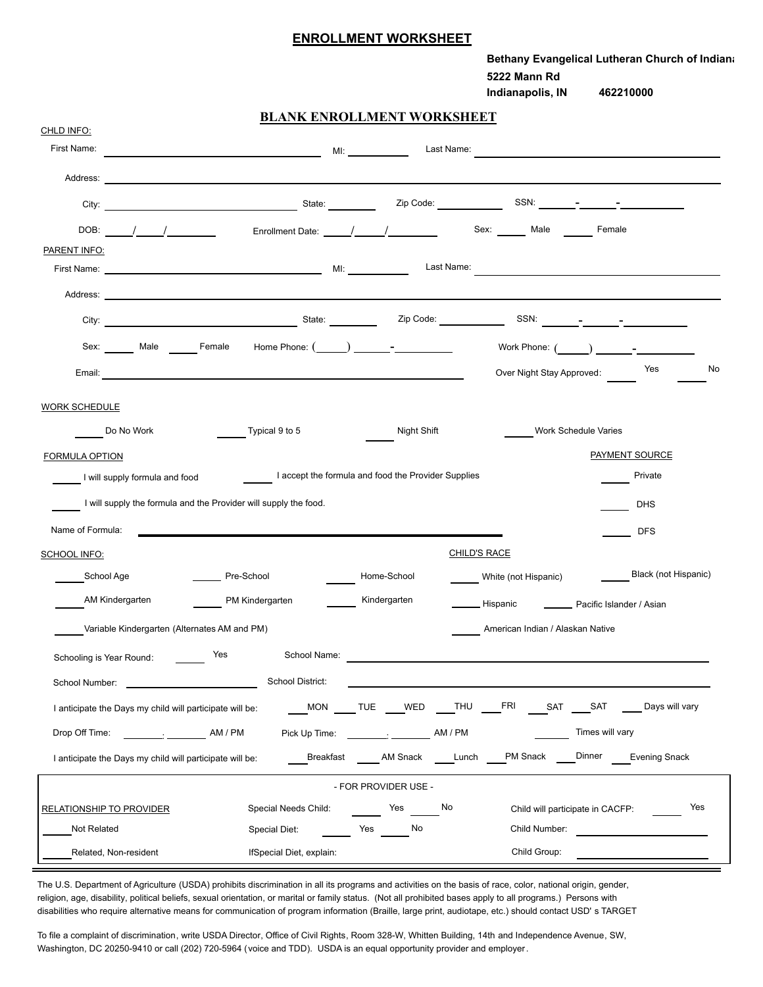## **ENROLLMENT WORKSHEET**

|                                                                                                                                                                                                                                                    | Bethany Evangelical Lutheran Church of Indiana<br>5222 Mann Rd<br>Indianapolis, IN<br>462210000 |
|----------------------------------------------------------------------------------------------------------------------------------------------------------------------------------------------------------------------------------------------------|-------------------------------------------------------------------------------------------------|
| <b>BLANK ENROLLMENT WORKSHEET</b>                                                                                                                                                                                                                  |                                                                                                 |
| CHLD INFO:<br>First Name:                                                                                                                                                                                                                          | Last Name:                                                                                      |
| Address:<br><u> 1989 - Johann Barn, amerikansk politiker (d. 1989)</u>                                                                                                                                                                             |                                                                                                 |
| City:                                                                                                                                                                                                                                              |                                                                                                 |
|                                                                                                                                                                                                                                                    |                                                                                                 |
| Enrollment Date: _____/_____/__________<br>DOB: $\frac{1}{\sqrt{2}}$<br><b>PARENT INFO:</b>                                                                                                                                                        | Sex: ______ Male<br>Female                                                                      |
|                                                                                                                                                                                                                                                    | Last Name:                                                                                      |
| Address: No. 2006. The Contract of the Contract of the Contract of the Contract of the Contract of the Contract of the Contract of the Contract of the Contract of the Contract of the Contract of the Contract of the Contrac                     |                                                                                                 |
|                                                                                                                                                                                                                                                    | SSN:                                                                                            |
| Sex: Male Female                                                                                                                                                                                                                                   | Work Phone: $($ $)$ $=$                                                                         |
| Email:                                                                                                                                                                                                                                             | Yes<br>No<br>Over Night Stay Approved:                                                          |
| Do No Work<br>Typical 9 to 5<br><b>FORMULA OPTION</b><br>I accept the formula and food the Provider Supplies<br>I will supply formula and food<br>I will supply the formula and the Provider will supply the food.<br>Name of Formula:             | Night Shift<br>Work Schedule Varies<br>PAYMENT SOURCE<br>Private<br><b>DHS</b><br><b>DFS</b>    |
| SCHOOL INFO:                                                                                                                                                                                                                                       | <b>CHILD'S RACE</b>                                                                             |
| School Age<br>Pre-School<br>Home-School                                                                                                                                                                                                            | <b>Black (not Hispanic)</b><br>White (not Hispanic)                                             |
| AM Kindergarten<br>PM Kindergarten<br>Kindergarten                                                                                                                                                                                                 | <b>_ Hispanic</b><br>Pacific Islander / Asian                                                   |
| Variable Kindergarten (Alternates AM and PM)                                                                                                                                                                                                       | American Indian / Alaskan Native                                                                |
| School Name:<br><b>Press</b><br>Schooling is Year Round:                                                                                                                                                                                           |                                                                                                 |
| School District:<br>School Number: National According to the Contract of the Contract of the Contract of the Contract of the Contract of the Contract of the Contract of the Contract of the Contract of the Contract of the Contract of the Contr |                                                                                                 |
| I anticipate the Days my child will participate will be:                                                                                                                                                                                           | MON TUE WED THU FRI<br>SAT SAT<br>Days will vary                                                |
| Drop Off Time: AM / PM                                                                                                                                                                                                                             | Times will vary                                                                                 |
| I anticipate the Days my child will participate will be:                                                                                                                                                                                           | <b>PM Snack</b><br>Dinner<br>Breakfast AM Snack Lunch<br><b>Evening Snack</b>                   |
| - FOR PROVIDER USE -                                                                                                                                                                                                                               |                                                                                                 |
| Special Needs Child:<br><b>Paradox</b> Yes<br><b>RELATIONSHIP TO PROVIDER</b>                                                                                                                                                                      | No<br>Yes<br>Child will participate in CACFP:                                                   |
| Not Related<br>Yes No<br>Special Diet:                                                                                                                                                                                                             | Child Number:                                                                                   |
| Related. Non-resident<br>IfSpecial Diet. explain:                                                                                                                                                                                                  | Child Group:                                                                                    |

The U.S. Department of Agriculture (USDA) prohibits discrimination in all its programs and activities on the basis of race, color, national origin, gender, religion, age, disability, political beliefs, sexual orientation, or marital or family status. (Not all prohibited bases apply to all programs.) Persons with disabilities who require alternative means for communication of program information (Braille, large print, audiotape, etc.) should contact USD' s TARGET

To file a complaint of discrimination, write USDA Director, Office of Civil Rights, Room 328-W, Whitten Building, 14th and Independence Avenue, SW, Washington, DC 20250-9410 or call (202) 720-5964 (voice and TDD). USDA is an equal opportunity provider and employer.